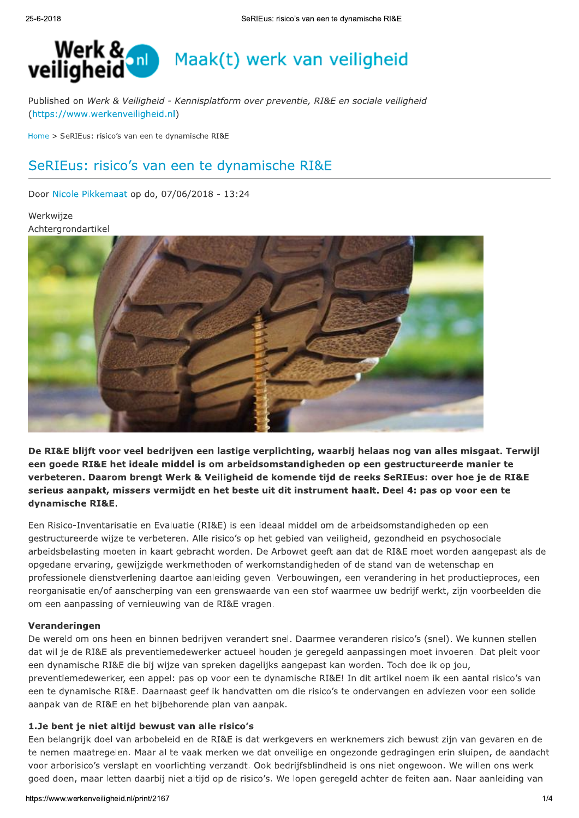

Published on Werk & Veiligheid - Kennisplatform over preventie, RI&E en sociale veiligheid (https://www.werkenveiligheid.nl)

Home > SeRIEus: risico's van een te dynamische RI&E

# SeRIEus: risico's van een te dynamische RI&E

Door Nicole Pikkemaat op do, 07/06/2018 - 13:24

### Werkwijze Achtergrondartikel



De RI&E blijft voor veel bedrijven een lastige verplichting, waarbij helaas nog van alles misgaat. Terwijl een goede RI&E het ideale middel is om arbeidsomstandigheden op een gestructureerde manier te verbeteren. Daarom brengt Werk & Veiligheid de komende tijd de reeks SeRIEus; over hoe je de RI&E serieus aanpakt, missers vermijdt en het beste uit dit instrument haalt. Deel 4: pas op voor een te dynamische RI&E.

Een Risico-Inventarisatie en Evaluatie (RI&E) is een ideaal middel om de arbeidsomstandigheden op een gestructureerde wijze te verbeteren. Alle risico's op het gebied van veiligheid, gezondheid en psychosociale arbeidsbelasting moeten in kaart gebracht worden. De Arbowet geeft aan dat de RI&E moet worden aangepast als de opgedane ervaring, gewijzigde werkmethoden of werkomstandigheden of de stand van de wetenschap en professionele dienstverlening daartoe aanleiding geven. Verbouwingen, een verandering in het productieproces, een reorganisatie en/of aanscherping van een grenswaarde van een stof waarmee uw bedrijf werkt, zijn voorbeelden die om een aanpassing of vernieuwing van de RI&E vragen.

#### Veranderingen

De wereld om ons heen en binnen bedrijven verandert snel. Daarmee veranderen risico's (snel). We kunnen stellen dat wil je de RI&E als preventiemedewerker actueel houden je geregeld aanpassingen moet invoeren. Dat pleit voor een dynamische RI&E die bij wijze van spreken dagelijks aangepast kan worden. Toch doe ik op jou, preventiemedewerker, een appel: pas op voor een te dynamische RI&E! In dit artikel noem ik een aantal risico's van een te dynamische RI&E. Daarnaast geef ik handvatten om die risico's te ondervangen en adviezen voor een solide aanpak van de RI&E en het bijbehorende plan van aanpak.

#### 1.Je bent je niet altijd bewust van alle risico's

1.Je bent je niet altijd bewust van alle risico's<br>Een belangrijk doel van arbobeleid en de RI&E is dat werkgevers en werknemers zich bewust zijn van gevaren en de<br>te nemen maatregelen. Maar al te vaak merken we dat onveili Een belangrijk doel van arbobeleid en de RI&E is dat werkgevers en werknemers zich bewust zijn van gevaren en de te nemen maatregelen. Maar al te vaak merken we dat onveilige en ongezonde gedragingen erin sluipen, de aandacht voor arborisico's verslapt en voorlichting verzandt. Ook bedrijfsblindheid is ons niet ongewoon. We willen ons werk goed doen, maar letten daarbij niet altijd op de risico's. We lopen geregeld achter de feiten aan. Naar aanleiding van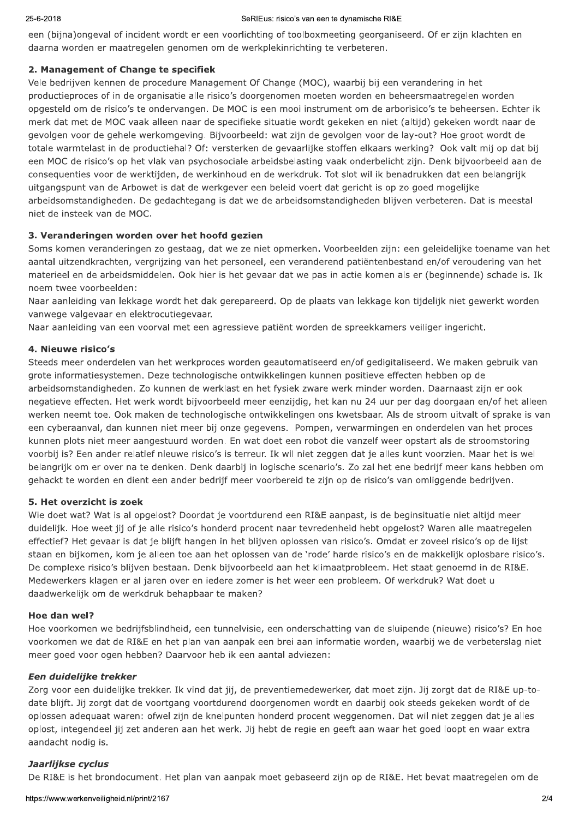# IEUS: risico s van een te dynamische Ri&E

een (bijna)ongeval of incident wordt er een voorlichting of toolboxmeeting georganiseerd. Of er zijn klachten en daarna worden er maatregelen genomen om de werkplekinrichting te verbeteren.

# 2. Management of Change te specifiek

Vele bedrijven kennen de procedure Management Of Change (MOC), waarbij bij een verandering in het productieproces of in de organisatie alle risico's doorgenomen moeten worden en beheersmaatregelen worden opgesteld om de risico's te ondervangen. De MOC is een mooi instrument om de arborisico's te beheersen. Echter ik merk dat met de MOC vaak alleen naar de specifieke situatie wordt gekeken en niet (altijd) gekeken wordt naar de gevolgen voor de gehele werkomgeving. Bijvoorbeeld: wat zijn de gevolgen voor de lay-out? Hoe groot wordt de totale warmtelast in de productiehal? Of: versterken de gevaarlijke stoffen elkaars werking? Ook valt mij op dat bij een MOC de risico's op het vlak van psychosociale arbeidsbelasting vaak onderbelicht zijn. Denk bijvoorbeeld aan de consequenties voor de werktijden, de werkinhoud en de werkdruk. Tot slot wil ik benadrukken dat een belangrijk uitgangspunt van de Arbowet is dat de werkgever een beleid voert dat gericht is op zo goed mogelijke arbeidsomstandigheden. De gedachtegang is dat we de arbeidsomstandigheden blijven verbeteren. Dat is meestal niet de insteek van de MOC.

# 3. Veranderingen worden over het hoofd gezien

Soms komen veranderingen zo gestaag, dat we ze niet opmerken. Voorbeelden zijn: een geleidelijke toename van het aantal uitzendkrachten, vergriizing van het personeel, een veranderend patiëntenbestand en/of veroudering van het materieel en de arbeidsmiddelen. Ook hier is het gevaar dat we pas in actie komen als er (beginnende) schade is. Ik noem twee voorbeelden:

Naar aanleiding van lekkage wordt het dak gerepareerd. Op de plaats van lekkage kon tijdelijk niet gewerkt worden vanwege valgevaar en elektrocutiegevaar.

Naar aanleiding van een voorval met een agressieve patiënt worden de spreekkamers veiliger ingericht.

# 4. Nieuwe risico's

Steeds meer onderdelen van het werkproces worden geautomatiseerd en/of gedigitaliseerd. We maken gebruik van grote informatiesystemen. Deze technologische ontwikkelingen kunnen positieve effecten hebben op de arbeidsomstandigheden. Zo kunnen de werklast en het fysiek zware werk minder worden. Daarnaast zijn er ook negatieve effecten. Het werk wordt bijvoorbeeld meer eenzijdig, het kan nu 24 uur per dag doorgaan en/of het alleen werken neemt toe. Ook maken de technologische ontwikkelingen ons kwetsbaar. Als de stroom uitvalt of sprake is van een cyberaanval, dan kunnen niet meer bij onze gegevens. Pompen, verwarmingen en onderdelen van het proces kunnen plots niet meer aangestuurd worden. En wat doet een robot die vanzelf weer opstart als de stroomstoring voorbij is? Een ander relatief nieuwe risico's is terreur. Ik wil niet zeggen dat je alles kunt voorzien. Maar het is wel belangrijk om er over na te denken. Denk daarbij in logische scenario's. Zo zal het ene bedrijf meer kans hebben om gehackt te worden en dient een ander bedrijf meer voorbereid te zijn op de risico's van omliggende bedrijven.

#### 5. Het overzicht is zoek

Wie doet wat? Wat is al opgelost? Doordat je voortdurend een RI&E aanpast, is de beginsituatie niet altijd meer duidelijk. Hoe weet jij of je alle risico's honderd procent naar tevredenheid hebt opgelost? Waren alle maatregelen effectief? Het gevaar is dat je blijft hangen in het blijven oplossen van risico's. Omdat er zoveel risico's op de lijst staan en bijkomen, kom je alleen toe aan het oplossen van de 'rode' harde risico's en de makkelijk oplosbare risico's. De complexe risico's blijven bestaan. Denk bijvoorbeeld aan het klimaatprobleem. Het staat genoemd in de RI&E. Medewerkers klagen er al jaren over en jedere zomer is het weer een probleem. Of werkdruk? Wat doet u daadwerkelijk om de werkdruk behapbaar te maken?

#### Hoe dan wel?

Hoe voorkomen we bedrijfsblindheid, een tunnelvisie, een onderschatting van de sluipende (nieuwe) risico's? En hoe voorkomen we dat de RI&E en het plan van aanpak een brei aan informatie worden, waarbij we de verbeterslag niet meer goed voor ogen hebben? Daarvoor heb ik een aantal adviezen:

#### Een duidelijke trekker

oplost, integendeel jij zet anderen aan het werk. Jij hebt de regie en geeft aan waar het goed loopt en waar extra<br>aandacht nodig is.<br>**Jaarlijkse cyclus**<br>De RI&E is het brondocument. Het plan van aanpak moet gebaseerd zijn Zorg voor een duidelijke trekker. Ik vind dat jij, de preventiemedewerker, dat moet zijn. Jij zorgt dat de RI&E up-todate blijft. Jij zorgt dat de voortgang voortdurend doorgenomen wordt en daarbij ook steeds gekeken wordt of de oplossen adequaat waren: ofwel zijn de knelpunten honderd procent weggenomen. Dat wil niet zeggen dat je alles oplost, integendeel jij zet anderen aan het werk. Jij hebt de regie en geeft aan waar het goed loopt en waar extra aandacht nodig is.

#### Jaarlijkse cyclus

De RI&E is het brondocument. Het plan van aanpak moet gebaseerd zijn op de RI&E. Het bevat maatregelen om de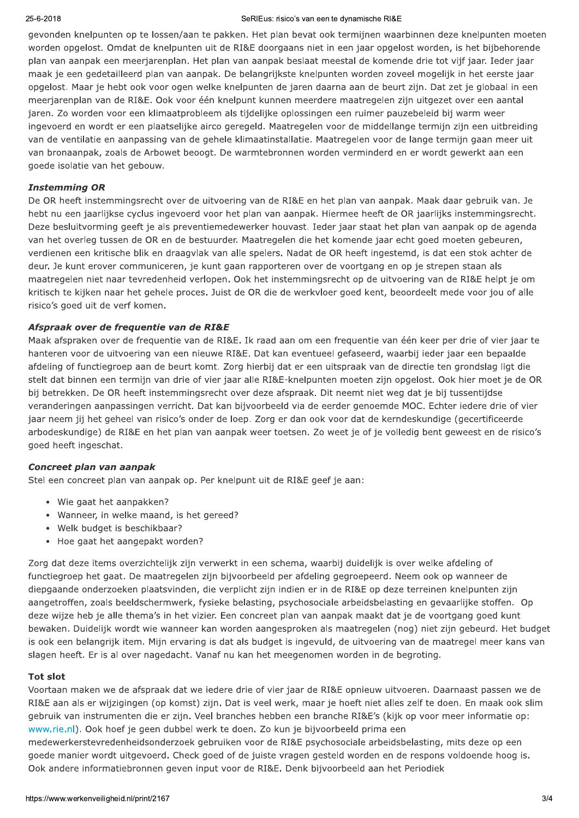#### SeRIEus: risico's van een te dynamische RI&E

gevonden knelpunten op te lossen/aan te pakken. Het plan bevat ook termijnen waarbinnen deze knelpunten moeten worden opgelost. Omdat de knelpunten uit de RI&E doorgaans niet in een jaar opgelost worden, is het bijbehorende plan van aanpak een meerjarenplan. Het plan van aanpak beslaat meestal de komende drie tot vijf jaar. Ieder jaar maak je een gedetailleerd plan van aanpak. De belangrijkste knelpunten worden zoveel mogelijk in het eerste jaar opgelost. Maar je hebt ook voor ogen welke knelpunten de jaren daarna aan de beurt zijn. Dat zet je globaal in een meerjarenplan van de RI&E. Ook voor één knelpunt kunnen meerdere maatregelen zijn uitgezet over een aantal jaren. Zo worden voor een klimaatprobleem als tijdelijke oplossingen een ruimer pauzebeleid bij warm weer ingevoerd en wordt er een plaatselijke airco geregeld. Maatregelen voor de middellange termijn zijn een uitbreiding van de ventilatie en aanpassing van de gehele klimaatinstallatie. Maatregelen voor de lange termijn gaan meer uit van bronaanpak, zoals de Arbowet beoogt. De warmtebronnen worden verminderd en er wordt gewerkt aan een goede isolatie van het gebouw.

#### **Instemming OR**

De OR heeft instemmingsrecht over de uitvoering van de RI&E en het plan van aanpak. Maak daar gebruik van. Je hebt nu een jaarlijkse cyclus ingevoerd voor het plan van aanpak. Hiermee heeft de OR jaarlijks instemmingsrecht. Deze besluitvorming geeft je als preventiemedewerker houvast. Ieder jaar staat het plan van aanpak op de agenda van het overleg tussen de OR en de bestuurder. Maatregelen die het komende jaar echt goed moeten gebeuren, verdienen een kritische blik en draagvlak van alle spelers. Nadat de OR heeft ingestemd, is dat een stok achter de deur. Je kunt erover communiceren, je kunt gaan rapporteren over de voortgang en op je strepen staan als maatregelen niet naar tevredenheid verlopen. Ook het instemmingsrecht op de uitvoering van de RI&E helpt je om kritisch te kijken naar het gehele proces. Juist de OR die de werkvloer goed kent, beoordeelt mede voor jou of alle risico's goed uit de verf komen.

#### Afspraak over de frequentie van de RI&E

Maak afspraken over de frequentie van de RI&E. Ik raad aan om een frequentie van één keer per drie of vier jaar te hanteren voor de uitvoering van een nieuwe RI&E. Dat kan eventueel gefaseerd, waarbij ieder jaar een bepaalde afdeling of functiegroep aan de beurt komt. Zorg hierbij dat er een uitspraak van de directie ten grondslag ligt die stelt dat binnen een termijn van drie of vier jaar alle RI&E-knelpunten moeten zijn opgelost. Ook hier moet je de OR bij betrekken. De OR heeft instemmingsrecht over deze afspraak. Dit neemt niet weg dat je bij tussentijdse veranderingen aanpassingen verricht. Dat kan bijvoorbeeld via de eerder genoemde MOC. Echter iedere drie of vier jaar neem jij het geheel van risico's onder de loep. Zorg er dan ook voor dat de kerndeskundige (gecertificeerde arbodeskundige) de RI&E en het plan van aanpak weer toetsen. Zo weet je of je volledig bent geweest en de risico's goed heeft ingeschat.

#### Concreet plan van aanpak

Stel een concreet plan van aanpak op. Per knelpunt uit de RI&E geef je aan:

- Wie gaat het aanpakken?
- Wanneer, in welke maand, is het gereed?
- Welk budget is beschikbaar?
- Hoe gaat het aangepakt worden?

Zorg dat deze items overzichtelijk zijn verwerkt in een schema, waarbij duidelijk is over welke afdeling of functiegroep het gaat. De maatregelen zijn bijvoorbeeld per afdeling gegroepeerd. Neem ook op wanneer de diepgaande onderzoeken plaatsvinden, die verplicht zijn indien er in de RI&E op deze terreinen knelpunten zijn aangetroffen, zoals beeldschermwerk, fysieke belasting, psychosociale arbeidsbelasting en gevaarlijke stoffen. Op deze wijze heb je alle thema's in het vizier. Een concreet plan van aanpak maakt dat je de voortgang goed kunt bewaken. Duidelijk wordt wie wanneer kan worden aangesproken als maatregelen (nog) niet zijn gebeurd. Het budget is ook een belangrijk item. Mijn ervaring is dat als budget is ingevuld, de uitvoering van de maatregel meer kans van slagen heeft. Er is al over nagedacht. Vanaf nu kan het meegenomen worden in de begroting.

#### **Tot slot**

Voortaan maken we de afspraak dat we iedere drie of vier jaar de RI&E opnieuw uitvoeren. Daarnaast passen we de RI&E aan als er wijzigingen (op komst) zijn. Dat is veel werk, maar je hoeft niet alles zelf te doen. En maak ook slim gebruik van instrumenten die er zijn. Veel branches hebben een branche RI&E's (kijk op voor meer informatie op: www.rie.nl). Ook hoef je geen dubbel werk te doen. Zo kun je bijvoorbeeld prima een

medewerkerstevredenheidsonderzoek gebruiken voor de RI&E psychosociale arbeidsbelasting, mits deze op een goede manier wordt uitgevoerd. Check goed of de juiste vragen gesteld worden en de respons voldoende hoog is. Ook andere informatiebronnen geven input voor de RI&E. Denk bijvoorbeeld aan het Periodiek